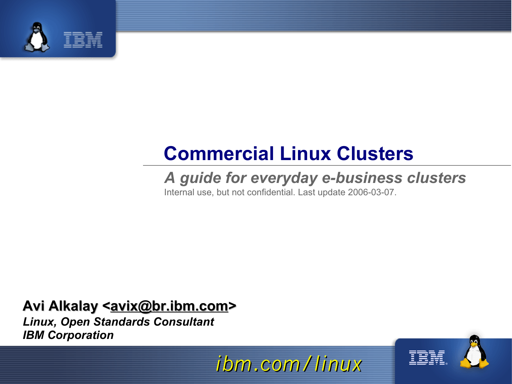

#### **Commercial Linux Clusters**

#### *A guide for everyday e-business clusters*

Internal use, but not confidential. Last update 2006-03-07.

#### Avi Alkalay <**avix@br.ibm.com>**

*Linux, Open Standards Consultant IBM Corporation*

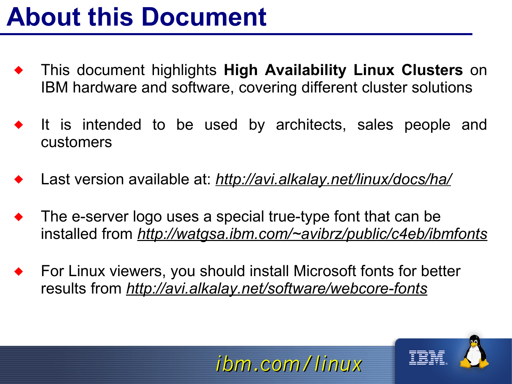#### **About this Document**

- This document highlights **High Availability Linux Clusters** on IBM hardware and software, covering different cluster solutions
- It is intended to be used by architects, sales people and customers
- Last version available at: *http://avi.alkalay.net/linux/docs/ha/*
- The e-server logo uses a special true-type font that can be installed from *http://watgsa.ibm.com/~avibrz/public/c4eb/ibmfonts*

*ibm.com/linux*

 For Linux viewers, you should install Microsoft fonts for better results from *http://avi.alkalay.net/software/webcore-fonts*

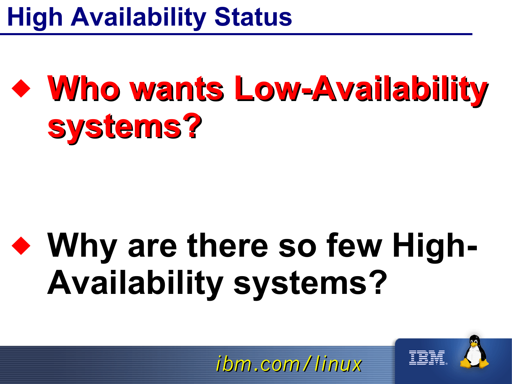### **High Availability Status**

## **Who wants Low-Availability systems?**

## **Why are there so few High-Availability systems?**

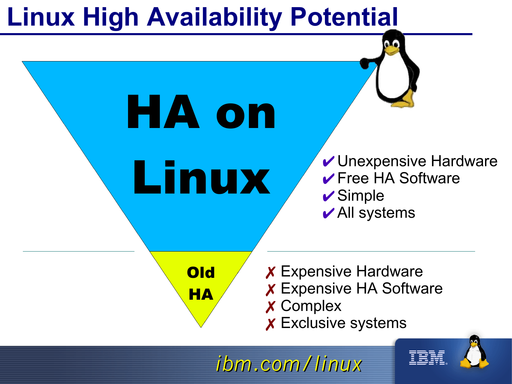#### **Linux High Availability Potential**



✗ Exclusive systems

TEM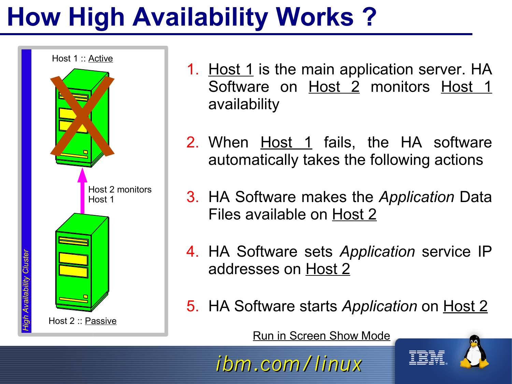## **How High Availability Works ?**



- 1. Host 1 is the main application server. HA Software on Host 2 monitors Host 1 availability
- 2. When Host 1 fails, the HA software automatically takes the following actions
- 3. HA Software makes the *Application* Data Files available on Host 2
- 4. HA Software sets *Application* service IP addresses on Host 2
- 5. HA Software starts *Application* on Host 2

Run in Screen Show Mode

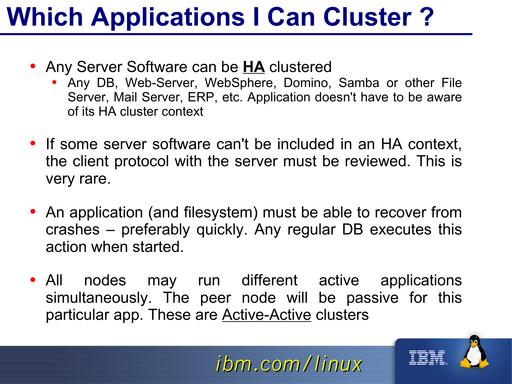## **Which Applications I Can Cluster ?**

- Any Server Software can be **HA** clustered
	- Any DB, Web-Server, WebSphere, Domino, Samba or other File Server, Mail Server, ERP, etc. Application doesn't have to be aware of its HA cluster context
- If some server software can't be included in an HA context, the client protocol with the server must be reviewed. This is very rare.
- An application (and filesystem) must be able to recover from crashes – preferably quickly. Any regular DB executes this action when started.
- All nodes may run different active applications simultaneously. The peer node will be passive for this particular app. These are **Active-Active** clusters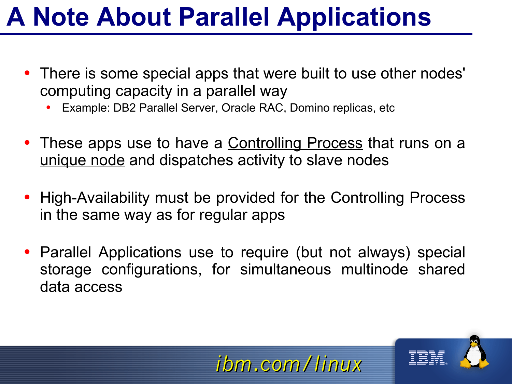#### **A Note About Parallel Applications**

- There is some special apps that were built to use other nodes' computing capacity in a parallel way
	- Example: DB2 Parallel Server, Oracle RAC, Domino replicas, etc
- These apps use to have a Controlling Process that runs on a unique node and dispatches activity to slave nodes
- High-Availability must be provided for the Controlling Process in the same way as for regular apps
- Parallel Applications use to require (but not always) special storage configurations, for simultaneous multinode shared data access

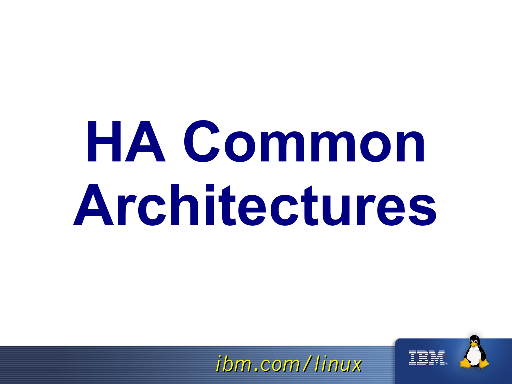# **HA Common Architectures**

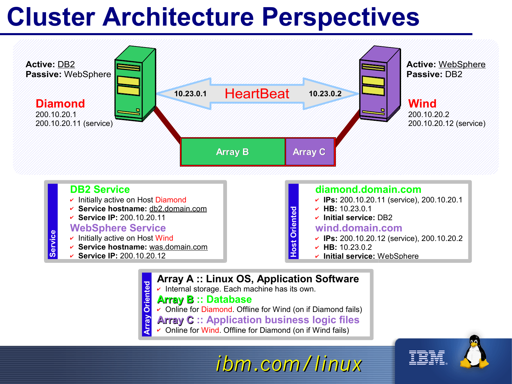#### **Cluster Architecture Perspectives**



#### **DB2 Service**  $\cdot$  Initially active on Host Diamond ✔ **Service hostname:** db2.domain.com ✔ **Service IP:** 200.10.20.11 **WebSphere Service**  $\cdot$  Initially active on Host Wind ✔ **Service hostname:** was.domain.com ✔ **Service IP:** 200.10.20.12 **diamond.domain.com** ✔ **IPs:** 200.10.20.11 (service), 200.10.20.1 ✔ **HB:** 10.23.0.1 ✔ **Initial service:** DB2 **wind.domain.com** ✔ **IPs:** 200.10.20.12 (service), 200.10.20.2 ✔ **HB:** 10.23.0.2 **H**✔ **Initial service:** WebSphere **ost Ori ente d**

**Array A :: Linux OS, Application Software**

 $\cdot$  Internal storage. Each machine has its own. **Orient**

#### **Array B :: Database**

**y**

**ed**

Service

✔ Online for Diamond. Offline for Wind (on if Diamond fails)

#### **Array C :: Application business logic files**

*ibm.com/linux*

**A** ✔ Online for Wind. Offline for Diamond (on if Wind fails) **rra**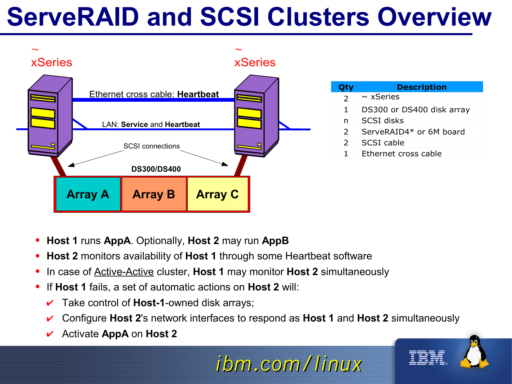#### **ServeRAID and SCSI Clusters Overview**



- **Host 1** runs **AppA**. Optionally, **Host 2** may run **AppB**
- **Host 2** monitors availability of **Host 1** through some Heartbeat software
- In case of Active-Active cluster, **Host 1** may monitor **Host 2** simultaneously
- If **Host 1** fails, a set of automatic actions on **Host 2** will:
	- Take control of **Host-1**-owned disk arrays;
	- ✔ Configure **Host 2**'s network interfaces to respond as **Host 1** and **Host 2** simultaneously

*ibm.com/linux*

✔ Activate **AppA** on **Host 2**

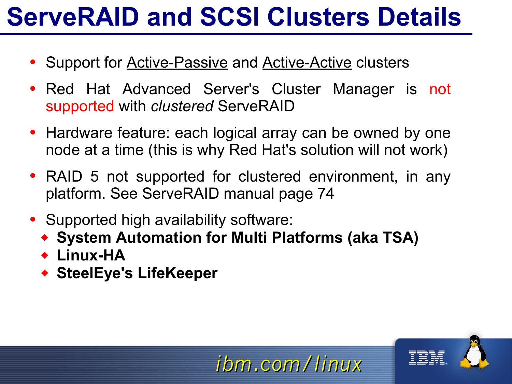#### **ServeRAID and SCSI Clusters Details**

- Support for **Active-Passive and Active-Active clusters**
- Red Hat Advanced Server's Cluster Manager is not supported with *clustered* ServeRAID
- Hardware feature: each logical array can be owned by one node at a time (this is why Red Hat's solution will not work)
- RAID 5 not supported for clustered environment, in any platform. See ServeRAID manual page 74

- Supported high availability software:
	- **System Automation for Multi Platforms (aka TSA)**
	- **Linux-HA**
	- **SteelEye's LifeKeeper**

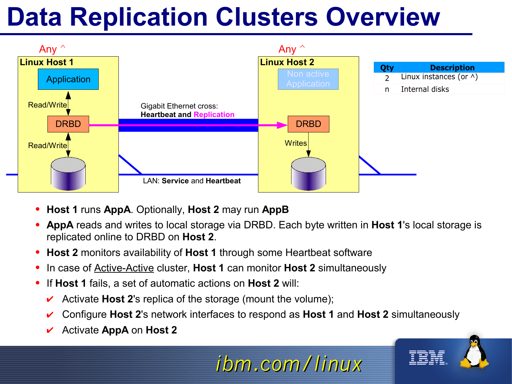#### **Data Replication Clusters Overview**



- **Host 1** runs **AppA**. Optionally, **Host 2** may run **AppB**
- **AppA** reads and writes to local storage via DRBD. Each byte written in **Host 1**'s local storage is replicated online to DRBD on **Host 2**.
- **Host 2** monitors availability of **Host 1** through some Heartbeat software
- In case of Active-Active cluster, **Host 1** can monitor **Host 2** simultaneously
- If **Host 1** fails, a set of automatic actions on **Host 2** will:
	- Activate **Host 2**'s replica of the storage (mount the volume);
	- ✔ Configure **Host 2**'s network interfaces to respond as **Host 1** and **Host 2** simultaneously

*ibm.com/linux*

✔ Activate **AppA** on **Host 2**

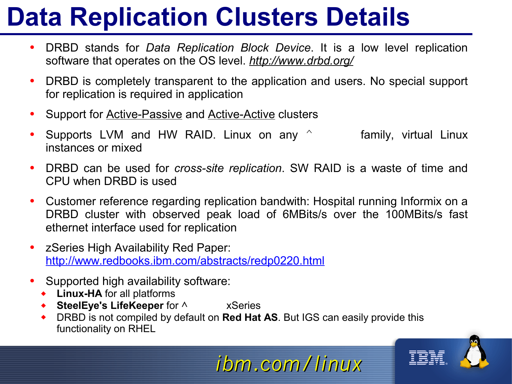### **Data Replication Clusters Details**

- DRBD stands for *Data Replication Block Device*. It is a low level replication software that operates on the OS level. *http://www.drbd.org/*
- DRBD is completely transparent to the application and users. No special support for replication is required in application
- Support for **Active-Passive and Active-Active clusters**
- Supports LVM and HW RAID. Linux on any  $\hat{ }$  family, virtual Linux instances or mixed
- DRBD can be used for *cross-site replication*. SW RAID is a waste of time and CPU when DRBD is used
- Customer reference regarding replication bandwith: Hospital running Informix on a DRBD cluster with observed peak load of 6MBits/s over the 100MBits/s fast ethernet interface used for replication
- zSeries High Availability Red Paper: http://www.redbooks.ibm.com/abstracts/redp0220.html
- Supported high availability software:
	- **Linux-HA** for all platforms
	- **SteelEye's LifeKeeper** for  $\land$  xSeries
	- DRBD is not compiled by default on **Red Hat AS**. But IGS can easily provide this functionality on RHEL

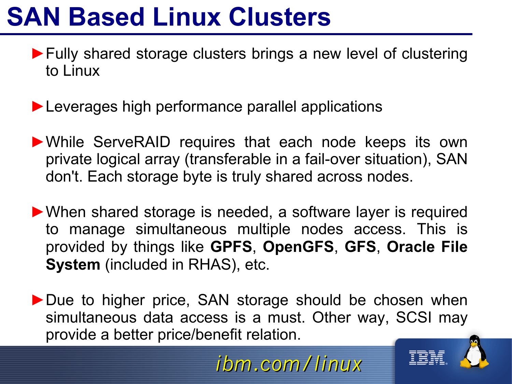#### **SAN Based Linux Clusters**

- ►Fully shared storage clusters brings a new level of clustering to Linux
- ▶ Leverages high performance parallel applications
- ►While ServeRAID requires that each node keeps its own private logical array (transferable in a fail-over situation), SAN don't. Each storage byte is truly shared across nodes.
- ►When shared storage is needed, a software layer is required to manage simultaneous multiple nodes access. This is provided by things like **GPFS**, **OpenGFS**, **GFS**, **Oracle File System** (included in RHAS), etc.
- ▶ Due to higher price, SAN storage should be chosen when simultaneous data access is a must. Other way, SCSI may provide a better price/benefit relation.



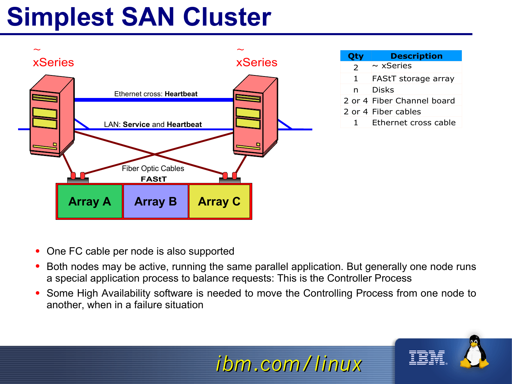## **Simplest SAN Cluster**



- One FC cable per node is also supported
- Both nodes may be active, running the same parallel application. But generally one node runs a special application process to balance requests: This is the Controller Process
- Some High Availability software is needed to move the Controlling Process from one node to another, when in a failure situation

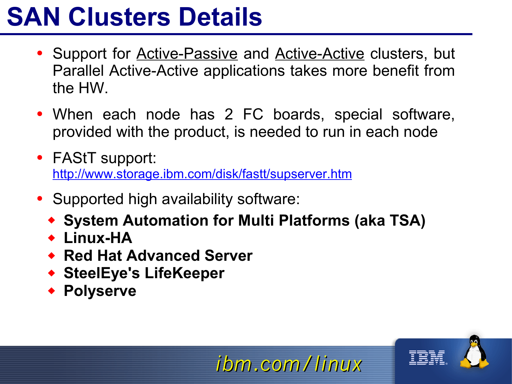#### **SAN Clusters Details**

- Support for Active-Passive and Active-Active clusters, but Parallel Active-Active applications takes more benefit from the HW.
- When each node has 2 FC boards, special software, provided with the product, is needed to run in each node
- FAStT support: http://www.storage.ibm.com/disk/fastt/supserver.htm
- Supported high availability software:
	- **System Automation for Multi Platforms (aka TSA)**

- **Linux-HA**
- **Red Hat Advanced Server**
- **SteelEye's LifeKeeper**
- **Polyserve**

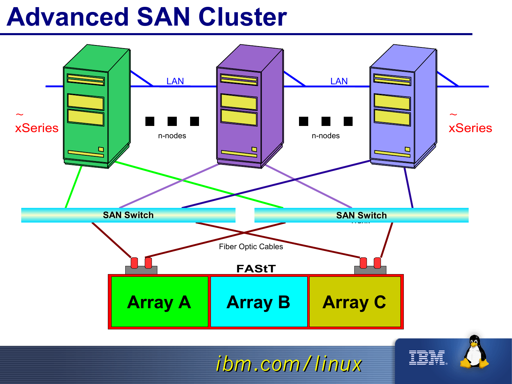#### **Advanced SAN Cluster**



*ibm.com/linux*

IBM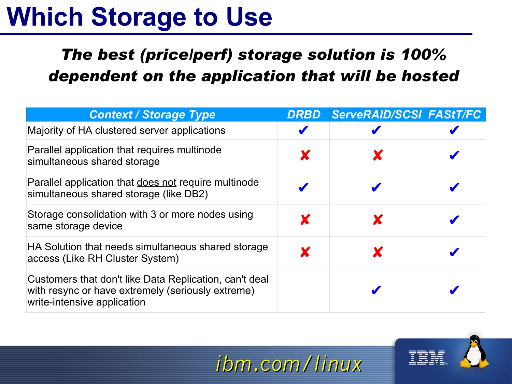#### **Which Storage to Use**

#### *The best (price/perf) storage solution is 100% dependent on the application that will be hosted*

| <b>Context / Storage Type</b>                                                                                                              | <b>DRBD</b> | <b>ServeRAID/SCSI FAStT/FC</b> |  |
|--------------------------------------------------------------------------------------------------------------------------------------------|-------------|--------------------------------|--|
| Majority of HA clustered server applications                                                                                               |             |                                |  |
| Parallel application that requires multinode<br>simultaneous shared storage                                                                |             |                                |  |
| Parallel application that does not require multinode<br>simultaneous shared storage (like DB2)                                             |             |                                |  |
| Storage consolidation with 3 or more nodes using<br>same storage device                                                                    | X           |                                |  |
| HA Solution that needs simultaneous shared storage<br>access (Like RH Cluster System)                                                      |             |                                |  |
| Customers that don't like Data Replication, can't deal<br>with resync or have extremely (seriously extreme)<br>write-intensive application |             |                                |  |

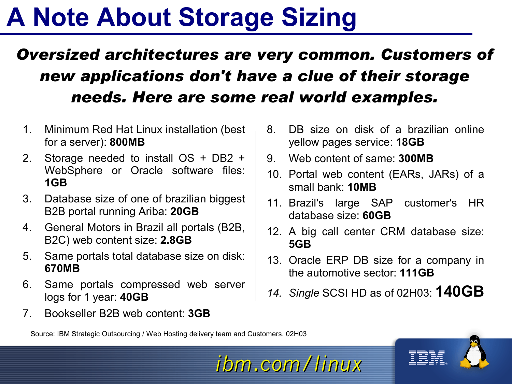#### **A Note About Storage Sizing**

#### *Oversized architectures are very common. Customers of new applications don't have a clue of their storage needs. Here are some real world examples.*

- 1. Minimum Red Hat Linux installation (best for a server): **800MB**
- 2. Storage needed to install OS + DB2 + WebSphere or Oracle software files: **1GB**
- 3. Database size of one of brazilian biggest B2B portal running Ariba: **20GB**
- 4. General Motors in Brazil all portals (B2B, B2C) web content size: **2.8GB**
- 5. Same portals total database size on disk: **670MB**
- 6. Same portals compressed web server logs for 1 year: **40GB**
- 7. Bookseller B2B web content: **3GB**
- 8. DB size on disk of a brazilian online yellow pages service: **18GB**
- 9. Web content of same: **300MB**
- 10. Portal web content (EARs, JARs) of a small bank: **10MB**
- 11. Brazil's large SAP customer's HR database size: **60GB**
- 12. A big call center CRM database size: **5GB**
- 13. Oracle ERP DB size for a company in the automotive sector: **111GB**
- *14. Single* SCSI HD as of 02H03: **140GB**

Source: IBM Strategic Outsourcing / Web Hosting delivery team and Customers. 02H03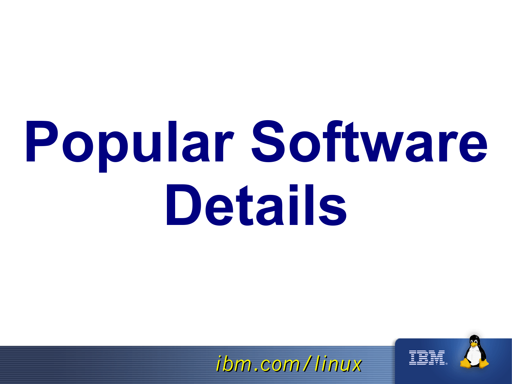# **Popular Software Details**

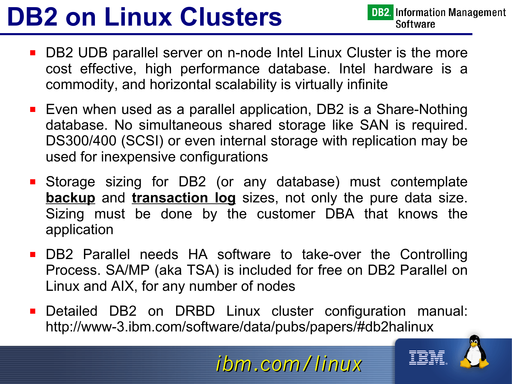## **DB2 on Linux Clusters**

- DB2 UDB parallel server on n-node Intel Linux Cluster is the more cost effective, high performance database. Intel hardware is a commodity, and horizontal scalability is virtually infinite
- Even when used as a parallel application, DB2 is a Share-Nothing database. No simultaneous shared storage like SAN is required. DS300/400 (SCSI) or even internal storage with replication may be used for inexpensive configurations
- Storage sizing for DB2 (or any database) must contemplate **backup** and **transaction log** sizes, not only the pure data size. Sizing must be done by the customer DBA that knows the application
- **DB2 Parallel needs HA software to take-over the Controlling** Process. SA/MP (aka TSA) is included for free on DB2 Parallel on Linux and AIX, for any number of nodes
- **Detailed DB2 on DRBD Linux cluster configuration manual:** http://www-3.ibm.com/software/data/pubs/papers/#db2halinux

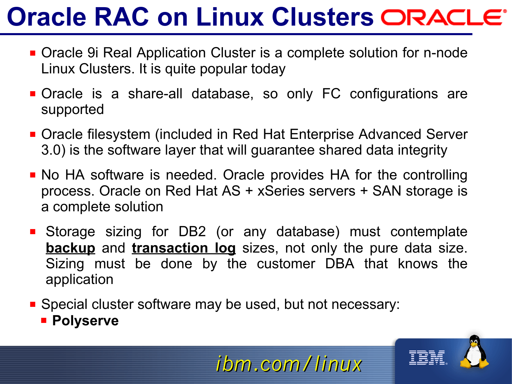#### **Oracle RAC on Linux Clusters**

- Oracle 9i Real Application Cluster is a complete solution for n-node Linux Clusters. It is quite popular today
- Oracle is a share-all database, so only FC configurations are supported
- Oracle filesystem (included in Red Hat Enterprise Advanced Server 3.0) is the software layer that will guarantee shared data integrity
- No HA software is needed. Oracle provides HA for the controlling process. Oracle on Red Hat AS + xSeries servers + SAN storage is a complete solution
- Storage sizing for DB2 (or any database) must contemplate **backup** and **transaction log** sizes, not only the pure data size. Sizing must be done by the customer DBA that knows the application
- **Special cluster software may be used, but not necessary:** 
	- **Polyserve**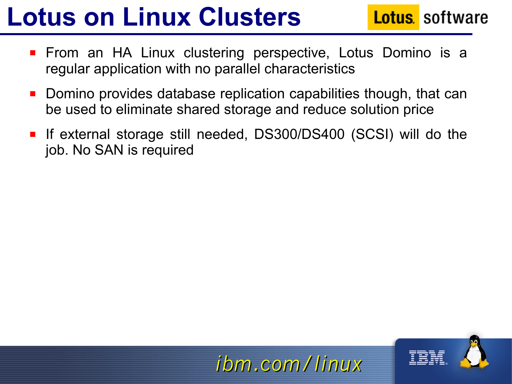## **Lotus on Linux Clusters**

**Lotus** software

- **Fichtary 15 Tangler 10 Tangler 10 Tangler 10 Tangler** Promino is a **Fig. 2** Tangler 10 Tangler 20 Tangler 10 Tangler 10 Tangler 10 Tangler 10 Tangler 10 Tangler 10 Tangler 10 Tangler 10 Tangler 10 Tangler 10 Tangler 10 Ta regular application with no parallel characteristics
- **Domino provides database replication capabilities though, that can** be used to eliminate shared storage and reduce solution price
- If external storage still needed, DS300/DS400 (SCSI) will do the job. No SAN is required

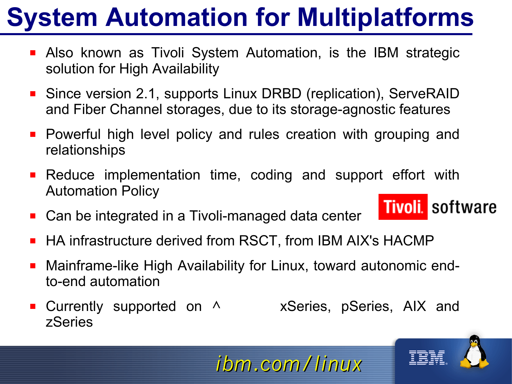## **System Automation for Multiplatforms**

- **Also known as Tivoli System Automation, is the IBM strategic** solution for High Availability
- Since version 2.1, supports Linux DRBD (replication), ServeRAID and Fiber Channel storages, due to its storage-agnostic features
- **Powerful high level policy and rules creation with grouping and** relationships
- **Reduce implementation time, coding and support effort with** Automation Policy **Tivoli**, software
- Can be integrated in a Tivoli-managed data center
- HA infrastructure derived from RSCT, from IBM AIX's HACMP
- Mainframe-like High Availability for Linux, toward autonomic endto-end automation
- **Currently supported on A** xSeries, pSeries, AIX and zSeries





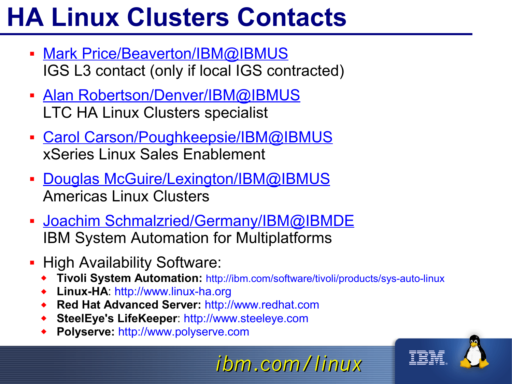## **HA Linux Clusters Contacts**

- Mark Price/Beaverton/IBM@IBMUS IGS L3 contact (only if local IGS contracted)
- Alan Robertson/Denver/IBM@IBMUS LTC HA Linux Clusters specialist
- **Carol Carson/Poughkeepsie/IBM@IBMUS** xSeries Linux Sales Enablement
- **Douglas McGuire/Lexington/IBM@IBMUS** Americas Linux Clusters
- **Joachim Schmalzried/Germany/IBM@IBMDE** IBM System Automation for Multiplatforms
- **High Availability Software:** 
	- **Tivoli System Automation:** http://ibm.com/software/tivoli/products/sys-auto-linux

- **Linux-HA**: http://www.linux-ha.org
- **Red Hat Advanced Server:** http://www.redhat.com
- **SteelEye's LifeKeeper**: http://www.steeleye.com
- **Polyserve:** http://www.polyserve.com

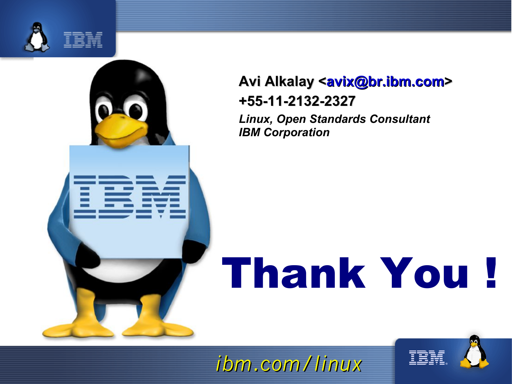

#### **Avi Alkalay <avix@br.ibm.com> +55-11-2132-2327**

*Linux, Open Standards Consultant IBM Corporation*

## Thank You !